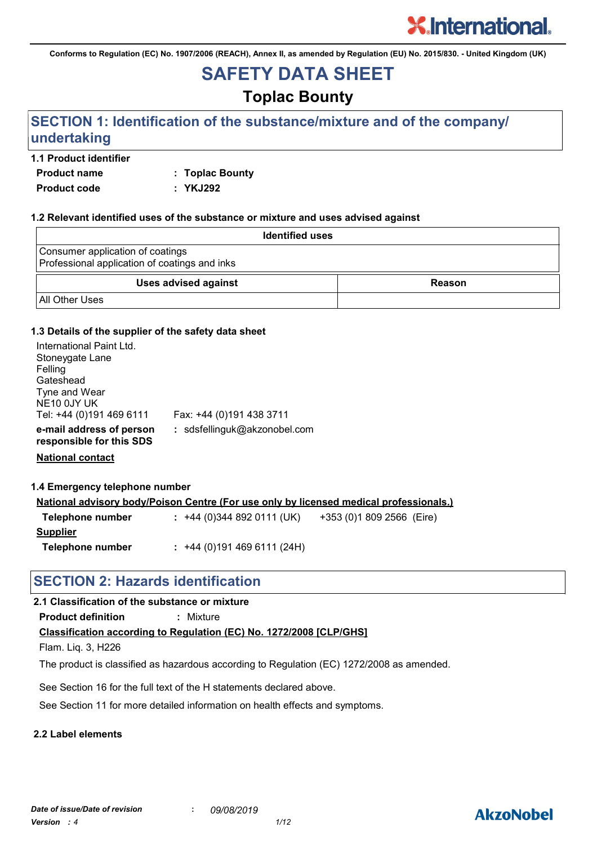**Conforms to Regulation (EC) No. 1907/2006 (REACH), Annex II, as amended by Regulation (EU) No. 2015/830. - United Kingdom (UK)**

# **SAFETY DATA SHEET**

# **Toplac Bounty**

# **SECTION 1: Identification of the substance/mixture and of the company/ undertaking**

## **1.1 Product identifier**

**Product name : Toplac Bounty Product code : YKJ292**

### **1.2 Relevant identified uses of the substance or mixture and uses advised against**

| <b>Identified uses</b>                                                            |               |
|-----------------------------------------------------------------------------------|---------------|
| Consumer application of coatings<br>Professional application of coatings and inks |               |
| <b>Uses advised against</b>                                                       | <b>Reason</b> |
| <b>All Other Uses</b>                                                             |               |

## **1.3 Details of the supplier of the safety data sheet**

| : sdsfellinguk@akzonobel.com |                          |
|------------------------------|--------------------------|
|                              | Fax: +44 (0)191 438 3711 |

**Telephone number :** +44 (0)191 469 6111 (24H)

**National contact**

**1.4 Emergency telephone number**

|                  | <u>National advisory body/Poison Centre (For use only by licensed medical professionals.)</u> |                           |
|------------------|-----------------------------------------------------------------------------------------------|---------------------------|
| Telephone number | $: +44(0)3448920111(UK)$                                                                      | +353 (0)1 809 2566 (Eire) |
| <b>Supplier</b>  |                                                                                               |                           |

# **SECTION 2: Hazards identification**

## **2.1 Classification of the substance or mixture**

**Product definition :** Mixture

**Classification according to Regulation (EC) No. 1272/2008 [CLP/GHS]**

Flam. Liq. 3, H226

The product is classified as hazardous according to Regulation (EC) 1272/2008 as amended.

See Section 16 for the full text of the H statements declared above.

See Section 11 for more detailed information on health effects and symptoms.

### **2.2 Label elements**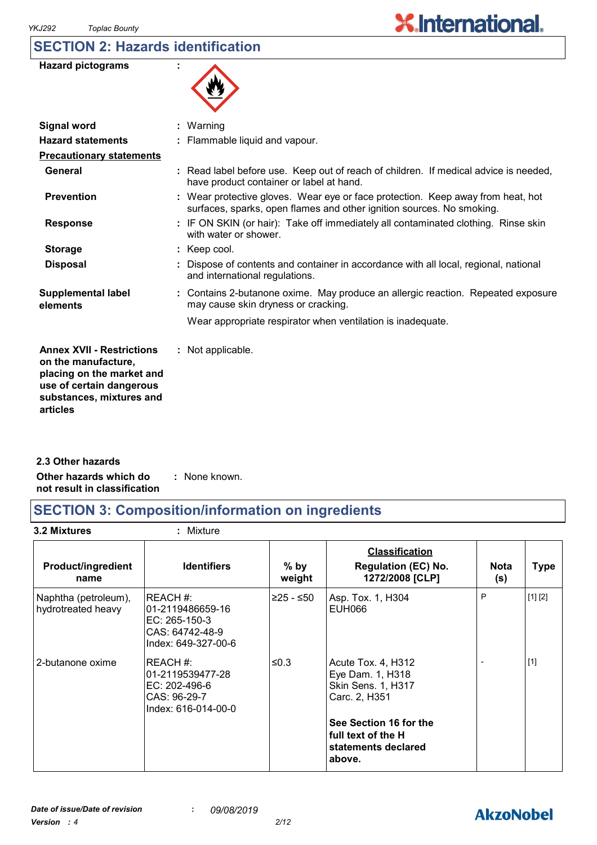# **SECTION 2: Hazards identification**

| <b>Hazard pictograms</b> |  |
|--------------------------|--|
|--------------------------|--|



| $:$ Warning                                                                                                                                              |
|----------------------------------------------------------------------------------------------------------------------------------------------------------|
| : Flammable liquid and vapour.                                                                                                                           |
|                                                                                                                                                          |
| : Read label before use. Keep out of reach of children. If medical advice is needed,<br>have product container or label at hand.                         |
| : Wear protective gloves. Wear eye or face protection. Keep away from heat, hot<br>surfaces, sparks, open flames and other ignition sources. No smoking. |
| : IF ON SKIN (or hair): Take off immediately all contaminated clothing. Rinse skin<br>with water or shower.                                              |
| $:$ Keep cool.                                                                                                                                           |
| Dispose of contents and container in accordance with all local, regional, national<br>and international regulations.                                     |
| : Contains 2-butanone oxime. May produce an allergic reaction. Repeated exposure<br>may cause skin dryness or cracking.                                  |
| Wear appropriate respirator when ventilation is inadequate.                                                                                              |
| : Not applicable.                                                                                                                                        |
|                                                                                                                                                          |

**Other hazards which do : not result in classification** : None known. **2.3 Other hazards**

# **SECTION 3: Composition/information on ingredients**

**3.2 Mixtures :** Mixture

| <b>Product/ingredient</b><br>name          | <b>Identifiers</b>                                                                      | $%$ by<br>weight | <b>Classification</b><br><b>Regulation (EC) No.</b><br>1272/2008 [CLP]          | <b>Nota</b><br>(s) | <b>Type</b> |
|--------------------------------------------|-----------------------------------------------------------------------------------------|------------------|---------------------------------------------------------------------------------|--------------------|-------------|
| Naphtha (petroleum),<br>hydrotreated heavy | REACH#:<br>l01-2119486659-16<br>EC: 265-150-3<br>CAS: 64742-48-9<br>Index: 649-327-00-6 | ≥25 - ≤50        | Asp. Tox. 1, H304<br>EUH066                                                     | P                  | [1] [2]     |
| 2-butanone oxime                           | REACH #:<br>01-2119539477-28<br>EC: 202-496-6<br>CAS: 96-29-7<br>Index: 616-014-00-0    | ≤0.3             | Acute Tox. 4, H312<br>Eye Dam. 1, H318<br>Skin Sens. 1, H317<br>Carc. 2, H351   |                    | $[1]$       |
|                                            |                                                                                         |                  | See Section 16 for the<br>l full text of the H<br>statements declared<br>above. |                    |             |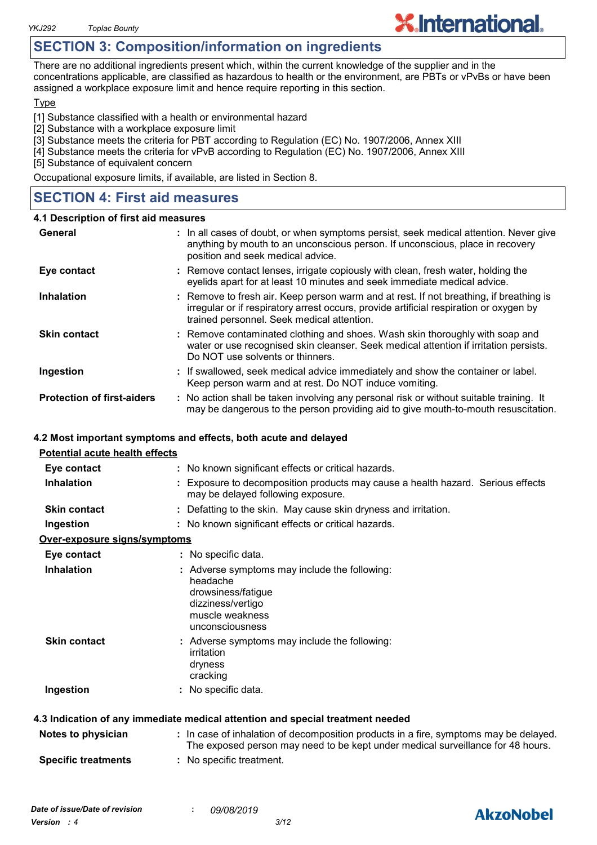# **SECTION 3: Composition/information on ingredients**

There are no additional ingredients present which, within the current knowledge of the supplier and in the concentrations applicable, are classified as hazardous to health or the environment, are PBTs or vPvBs or have been assigned a workplace exposure limit and hence require reporting in this section.

#### **Type**

[1] Substance classified with a health or environmental hazard

- [2] Substance with a workplace exposure limit
- [3] Substance meets the criteria for PBT according to Regulation (EC) No. 1907/2006, Annex XIII
- [4] Substance meets the criteria for vPvB according to Regulation (EC) No. 1907/2006, Annex XIII
- [5] Substance of equivalent concern

Occupational exposure limits, if available, are listed in Section 8.

# **SECTION 4: First aid measures**

#### **4.1 Description of first aid measures**

| General                           | : In all cases of doubt, or when symptoms persist, seek medical attention. Never give<br>anything by mouth to an unconscious person. If unconscious, place in recovery<br>position and seek medical advice.                    |
|-----------------------------------|--------------------------------------------------------------------------------------------------------------------------------------------------------------------------------------------------------------------------------|
| Eye contact                       | : Remove contact lenses, irrigate copiously with clean, fresh water, holding the<br>eyelids apart for at least 10 minutes and seek immediate medical advice.                                                                   |
| <b>Inhalation</b>                 | : Remove to fresh air. Keep person warm and at rest. If not breathing, if breathing is<br>irregular or if respiratory arrest occurs, provide artificial respiration or oxygen by<br>trained personnel. Seek medical attention. |
| <b>Skin contact</b>               | : Remove contaminated clothing and shoes. Wash skin thoroughly with soap and<br>water or use recognised skin cleanser. Seek medical attention if irritation persists.<br>Do NOT use solvents or thinners.                      |
| Ingestion                         | : If swallowed, seek medical advice immediately and show the container or label.<br>Keep person warm and at rest. Do NOT induce vomiting.                                                                                      |
| <b>Protection of first-aiders</b> | : No action shall be taken involving any personal risk or without suitable training. It<br>may be dangerous to the person providing aid to give mouth-to-mouth resuscitation.                                                  |

### **4.2 Most important symptoms and effects, both acute and delayed**

| <b>Potential acute health effects</b> |                                                                                                                                                                          |
|---------------------------------------|--------------------------------------------------------------------------------------------------------------------------------------------------------------------------|
| Eye contact                           | : No known significant effects or critical hazards.                                                                                                                      |
| <b>Inhalation</b>                     | : Exposure to decomposition products may cause a health hazard. Serious effects<br>may be delayed following exposure.                                                    |
| <b>Skin contact</b>                   | : Defatting to the skin. May cause skin dryness and irritation.                                                                                                          |
| Ingestion                             | : No known significant effects or critical hazards.                                                                                                                      |
| Over-exposure signs/symptoms          |                                                                                                                                                                          |
| Eye contact                           | : No specific data.                                                                                                                                                      |
| <b>Inhalation</b>                     | : Adverse symptoms may include the following:<br>headache<br>drowsiness/fatigue<br>dizziness/vertigo<br>muscle weakness<br>unconsciousness                               |
| <b>Skin contact</b>                   | : Adverse symptoms may include the following:<br>irritation<br>dryness<br>cracking                                                                                       |
| Ingestion                             | : No specific data.                                                                                                                                                      |
|                                       | 4.3 Indication of any immediate medical attention and special treatment needed                                                                                           |
| Notes to physician                    | : In case of inhalation of decomposition products in a fire, symptoms may be delayed.<br>The exposed person may need to be kept under medical surveillance for 48 hours. |
| <b>Specific treatments</b>            | : No specific treatment.                                                                                                                                                 |

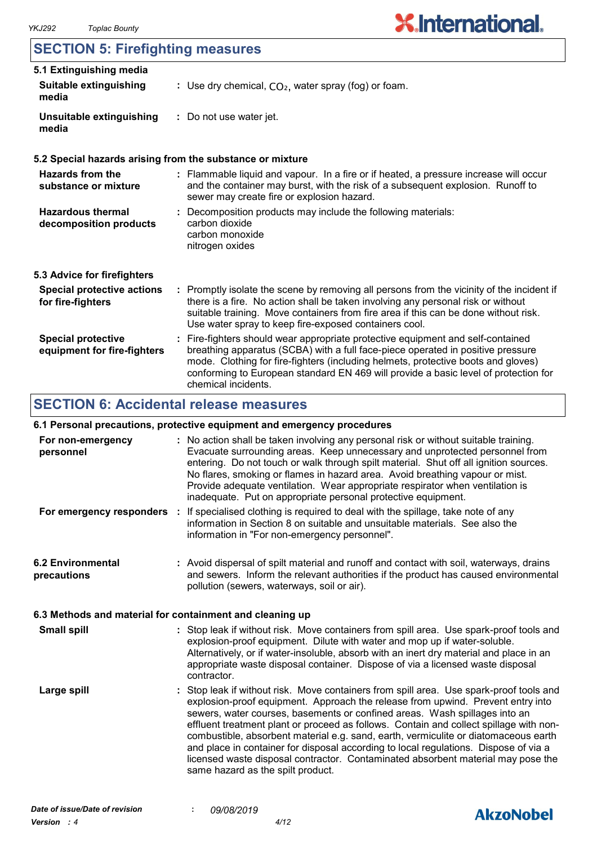# **SECTION 5: Firefighting measures**

| 5.1 Extinguishing media                                  |                                                                                                                                                                                                                                                                                                                                                                       |
|----------------------------------------------------------|-----------------------------------------------------------------------------------------------------------------------------------------------------------------------------------------------------------------------------------------------------------------------------------------------------------------------------------------------------------------------|
| <b>Suitable extinguishing</b><br>media                   | : Use dry chemical, $CO2$ , water spray (fog) or foam.                                                                                                                                                                                                                                                                                                                |
| <b>Unsuitable extinguishing</b><br>media                 | : Do not use water jet.                                                                                                                                                                                                                                                                                                                                               |
|                                                          | 5.2 Special hazards arising from the substance or mixture                                                                                                                                                                                                                                                                                                             |
| Hazards from the<br>substance or mixture                 | : Flammable liquid and vapour. In a fire or if heated, a pressure increase will occur<br>and the container may burst, with the risk of a subsequent explosion. Runoff to<br>sewer may create fire or explosion hazard.                                                                                                                                                |
| <b>Hazardous thermal</b><br>decomposition products       | : Decomposition products may include the following materials:<br>carbon dioxide<br>carbon monoxide<br>nitrogen oxides                                                                                                                                                                                                                                                 |
| 5.3 Advice for firefighters                              |                                                                                                                                                                                                                                                                                                                                                                       |
| <b>Special protective actions</b><br>for fire-fighters   | : Promptly isolate the scene by removing all persons from the vicinity of the incident if<br>there is a fire. No action shall be taken involving any personal risk or without<br>suitable training. Move containers from fire area if this can be done without risk.<br>Use water spray to keep fire-exposed containers cool.                                         |
| <b>Special protective</b><br>equipment for fire-fighters | : Fire-fighters should wear appropriate protective equipment and self-contained<br>breathing apparatus (SCBA) with a full face-piece operated in positive pressure<br>mode. Clothing for fire-fighters (including helmets, protective boots and gloves)<br>conforming to European standard EN 469 will provide a basic level of protection for<br>chemical incidents. |

# **SECTION 6: Accidental release measures**

# **6.1 Personal precautions, protective equipment and emergency procedures**

| For non-emergency<br>personnel                           | : No action shall be taken involving any personal risk or without suitable training.<br>Evacuate surrounding areas. Keep unnecessary and unprotected personnel from<br>entering. Do not touch or walk through spilt material. Shut off all ignition sources.<br>No flares, smoking or flames in hazard area. Avoid breathing vapour or mist.                                                                                                                                                                                                                                                                                                               |
|----------------------------------------------------------|------------------------------------------------------------------------------------------------------------------------------------------------------------------------------------------------------------------------------------------------------------------------------------------------------------------------------------------------------------------------------------------------------------------------------------------------------------------------------------------------------------------------------------------------------------------------------------------------------------------------------------------------------------|
|                                                          | Provide adequate ventilation. Wear appropriate respirator when ventilation is<br>inadequate. Put on appropriate personal protective equipment.                                                                                                                                                                                                                                                                                                                                                                                                                                                                                                             |
| For emergency responders :                               | If specialised clothing is required to deal with the spillage, take note of any<br>information in Section 8 on suitable and unsuitable materials. See also the<br>information in "For non-emergency personnel".                                                                                                                                                                                                                                                                                                                                                                                                                                            |
| <b>6.2 Environmental</b><br>precautions                  | : Avoid dispersal of spilt material and runoff and contact with soil, waterways, drains<br>and sewers. Inform the relevant authorities if the product has caused environmental<br>pollution (sewers, waterways, soil or air).                                                                                                                                                                                                                                                                                                                                                                                                                              |
| 6.3 Methods and material for containment and cleaning up |                                                                                                                                                                                                                                                                                                                                                                                                                                                                                                                                                                                                                                                            |
| <b>Small spill</b>                                       | : Stop leak if without risk. Move containers from spill area. Use spark-proof tools and<br>explosion-proof equipment. Dilute with water and mop up if water-soluble.<br>Alternatively, or if water-insoluble, absorb with an inert dry material and place in an<br>appropriate waste disposal container. Dispose of via a licensed waste disposal<br>contractor.                                                                                                                                                                                                                                                                                           |
| Large spill                                              | : Stop leak if without risk. Move containers from spill area. Use spark-proof tools and<br>explosion-proof equipment. Approach the release from upwind. Prevent entry into<br>sewers, water courses, basements or confined areas. Wash spillages into an<br>effluent treatment plant or proceed as follows. Contain and collect spillage with non-<br>combustible, absorbent material e.g. sand, earth, vermiculite or diatomaceous earth<br>and place in container for disposal according to local regulations. Dispose of via a<br>licensed waste disposal contractor. Contaminated absorbent material may pose the<br>same hazard as the spilt product. |

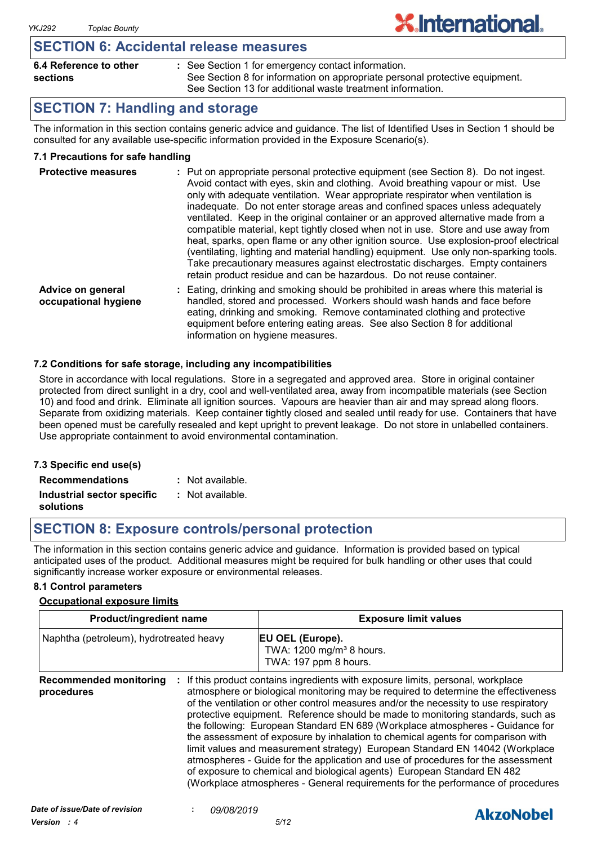# **SECTION 6: Accidental release measures**

| 6.4 Reference to other | : See Section 1 for emergency contact information.                          |
|------------------------|-----------------------------------------------------------------------------|
| sections               | See Section 8 for information on appropriate personal protective equipment. |
|                        | See Section 13 for additional waste treatment information.                  |

**X.International.** 

# **SECTION 7: Handling and storage**

The information in this section contains generic advice and guidance. The list of Identified Uses in Section 1 should be consulted for any available use-specific information provided in the Exposure Scenario(s).

## **7.1 Precautions for safe handling**

| <b>Protective measures</b>                | : Put on appropriate personal protective equipment (see Section 8). Do not ingest.<br>Avoid contact with eyes, skin and clothing. Avoid breathing vapour or mist. Use<br>only with adequate ventilation. Wear appropriate respirator when ventilation is<br>inadequate. Do not enter storage areas and confined spaces unless adequately<br>ventilated. Keep in the original container or an approved alternative made from a<br>compatible material, kept tightly closed when not in use. Store and use away from<br>heat, sparks, open flame or any other ignition source. Use explosion-proof electrical<br>(ventilating, lighting and material handling) equipment. Use only non-sparking tools.<br>Take precautionary measures against electrostatic discharges. Empty containers<br>retain product residue and can be hazardous. Do not reuse container. |
|-------------------------------------------|----------------------------------------------------------------------------------------------------------------------------------------------------------------------------------------------------------------------------------------------------------------------------------------------------------------------------------------------------------------------------------------------------------------------------------------------------------------------------------------------------------------------------------------------------------------------------------------------------------------------------------------------------------------------------------------------------------------------------------------------------------------------------------------------------------------------------------------------------------------|
| Advice on general<br>occupational hygiene | Eating, drinking and smoking should be prohibited in areas where this material is<br>handled, stored and processed. Workers should wash hands and face before<br>eating, drinking and smoking. Remove contaminated clothing and protective<br>equipment before entering eating areas. See also Section 8 for additional                                                                                                                                                                                                                                                                                                                                                                                                                                                                                                                                        |

### **7.2 Conditions for safe storage, including any incompatibilities**

Store in accordance with local regulations. Store in a segregated and approved area. Store in original container protected from direct sunlight in a dry, cool and well-ventilated area, away from incompatible materials (see Section 10) and food and drink. Eliminate all ignition sources. Vapours are heavier than air and may spread along floors. Separate from oxidizing materials. Keep container tightly closed and sealed until ready for use. Containers that have been opened must be carefully resealed and kept upright to prevent leakage. Do not store in unlabelled containers. Use appropriate containment to avoid environmental contamination.

information on hygiene measures.

#### **7.3 Specific end use(s) Recommendations : Industrial sector specific : solutions** : Not available. Not available.

# **SECTION 8: Exposure controls/personal protection**

The information in this section contains generic advice and guidance. Information is provided based on typical anticipated uses of the product. Additional measures might be required for bulk handling or other uses that could significantly increase worker exposure or environmental releases.

### **8.1 Control parameters**

#### **Occupational exposure limits**

| Product/ingredient name                     |  | <b>Exposure limit values</b>                                                                                                                                                                                                                                                                                                                                                                                                                                                                                                                                                                                                                                                                                                                                                                                                                          |  |
|---------------------------------------------|--|-------------------------------------------------------------------------------------------------------------------------------------------------------------------------------------------------------------------------------------------------------------------------------------------------------------------------------------------------------------------------------------------------------------------------------------------------------------------------------------------------------------------------------------------------------------------------------------------------------------------------------------------------------------------------------------------------------------------------------------------------------------------------------------------------------------------------------------------------------|--|
| Naphtha (petroleum), hydrotreated heavy     |  | EU OEL (Europe).<br>TWA: 1200 mg/m <sup>3</sup> 8 hours.<br>TWA: 197 ppm 8 hours.                                                                                                                                                                                                                                                                                                                                                                                                                                                                                                                                                                                                                                                                                                                                                                     |  |
| <b>Recommended monitoring</b><br>procedures |  | If this product contains ingredients with exposure limits, personal, workplace<br>atmosphere or biological monitoring may be required to determine the effectiveness<br>of the ventilation or other control measures and/or the necessity to use respiratory<br>protective equipment. Reference should be made to monitoring standards, such as<br>the following: European Standard EN 689 (Workplace atmospheres - Guidance for<br>the assessment of exposure by inhalation to chemical agents for comparison with<br>limit values and measurement strategy) European Standard EN 14042 (Workplace<br>atmospheres - Guide for the application and use of procedures for the assessment<br>of exposure to chemical and biological agents) European Standard EN 482<br>(Workplace atmospheres - General requirements for the performance of procedures |  |

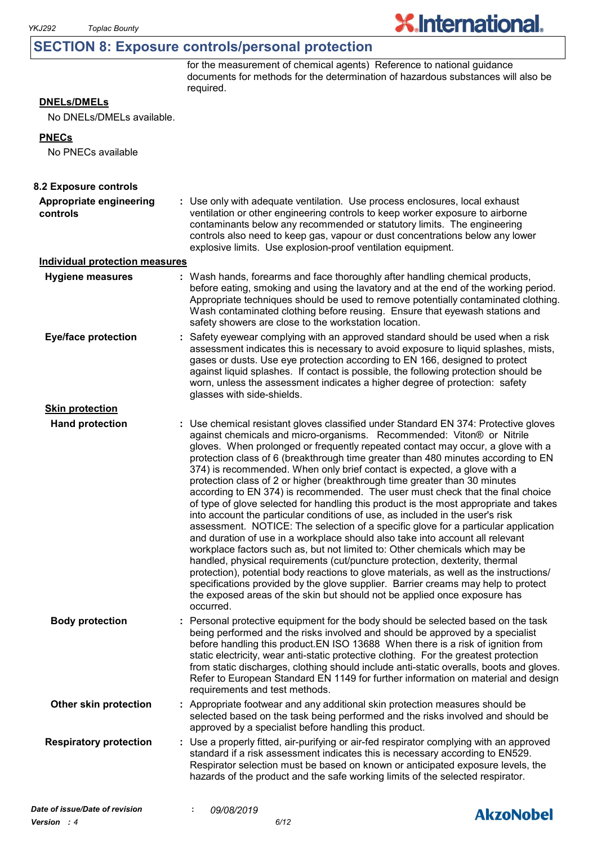# **SECTION 8: Exposure controls/personal protection**

for the measurement of chemical agents) Reference to national guidance documents for methods for the determination of hazardous substances will also be required.

**X.International.** 

## **DNELs/DMELs**

No DNELs/DMELs available.

#### **PNECs**

No PNECs available

| 8.2 Exposure controls                 |                                                                                                                                                                                                                                                                                                                                                                                                                                                                                                                                                                                                                                                                                                                                                                                                                                                                                                                                                                                                                                                                                                                                                                                                                                                                                                                                                                          |  |
|---------------------------------------|--------------------------------------------------------------------------------------------------------------------------------------------------------------------------------------------------------------------------------------------------------------------------------------------------------------------------------------------------------------------------------------------------------------------------------------------------------------------------------------------------------------------------------------------------------------------------------------------------------------------------------------------------------------------------------------------------------------------------------------------------------------------------------------------------------------------------------------------------------------------------------------------------------------------------------------------------------------------------------------------------------------------------------------------------------------------------------------------------------------------------------------------------------------------------------------------------------------------------------------------------------------------------------------------------------------------------------------------------------------------------|--|
| Appropriate engineering<br>controls   | : Use only with adequate ventilation. Use process enclosures, local exhaust<br>ventilation or other engineering controls to keep worker exposure to airborne<br>contaminants below any recommended or statutory limits. The engineering<br>controls also need to keep gas, vapour or dust concentrations below any lower<br>explosive limits. Use explosion-proof ventilation equipment.                                                                                                                                                                                                                                                                                                                                                                                                                                                                                                                                                                                                                                                                                                                                                                                                                                                                                                                                                                                 |  |
| <b>Individual protection measures</b> |                                                                                                                                                                                                                                                                                                                                                                                                                                                                                                                                                                                                                                                                                                                                                                                                                                                                                                                                                                                                                                                                                                                                                                                                                                                                                                                                                                          |  |
| <b>Hygiene measures</b>               | : Wash hands, forearms and face thoroughly after handling chemical products,<br>before eating, smoking and using the lavatory and at the end of the working period.<br>Appropriate techniques should be used to remove potentially contaminated clothing.<br>Wash contaminated clothing before reusing. Ensure that eyewash stations and<br>safety showers are close to the workstation location.                                                                                                                                                                                                                                                                                                                                                                                                                                                                                                                                                                                                                                                                                                                                                                                                                                                                                                                                                                        |  |
| <b>Eye/face protection</b>            | Safety eyewear complying with an approved standard should be used when a risk<br>assessment indicates this is necessary to avoid exposure to liquid splashes, mists,<br>gases or dusts. Use eye protection according to EN 166, designed to protect<br>against liquid splashes. If contact is possible, the following protection should be<br>worn, unless the assessment indicates a higher degree of protection: safety<br>glasses with side-shields.                                                                                                                                                                                                                                                                                                                                                                                                                                                                                                                                                                                                                                                                                                                                                                                                                                                                                                                  |  |
| <b>Skin protection</b>                |                                                                                                                                                                                                                                                                                                                                                                                                                                                                                                                                                                                                                                                                                                                                                                                                                                                                                                                                                                                                                                                                                                                                                                                                                                                                                                                                                                          |  |
| <b>Hand protection</b>                | : Use chemical resistant gloves classified under Standard EN 374: Protective gloves<br>against chemicals and micro-organisms. Recommended: Viton® or Nitrile<br>gloves. When prolonged or frequently repeated contact may occur, a glove with a<br>protection class of 6 (breakthrough time greater than 480 minutes according to EN<br>374) is recommended. When only brief contact is expected, a glove with a<br>protection class of 2 or higher (breakthrough time greater than 30 minutes<br>according to EN 374) is recommended. The user must check that the final choice<br>of type of glove selected for handling this product is the most appropriate and takes<br>into account the particular conditions of use, as included in the user's risk<br>assessment. NOTICE: The selection of a specific glove for a particular application<br>and duration of use in a workplace should also take into account all relevant<br>workplace factors such as, but not limited to: Other chemicals which may be<br>handled, physical requirements (cut/puncture protection, dexterity, thermal<br>protection), potential body reactions to glove materials, as well as the instructions/<br>specifications provided by the glove supplier. Barrier creams may help to protect<br>the exposed areas of the skin but should not be applied once exposure has<br>occurred. |  |
| <b>Body protection</b>                | Personal protective equipment for the body should be selected based on the task<br>being performed and the risks involved and should be approved by a specialist<br>before handling this product. EN ISO 13688 When there is a risk of ignition from<br>static electricity, wear anti-static protective clothing. For the greatest protection<br>from static discharges, clothing should include anti-static overalls, boots and gloves.<br>Refer to European Standard EN 1149 for further information on material and design<br>requirements and test methods.                                                                                                                                                                                                                                                                                                                                                                                                                                                                                                                                                                                                                                                                                                                                                                                                          |  |
| Other skin protection                 | : Appropriate footwear and any additional skin protection measures should be<br>selected based on the task being performed and the risks involved and should be<br>approved by a specialist before handling this product.                                                                                                                                                                                                                                                                                                                                                                                                                                                                                                                                                                                                                                                                                                                                                                                                                                                                                                                                                                                                                                                                                                                                                |  |
| <b>Respiratory protection</b>         | : Use a properly fitted, air-purifying or air-fed respirator complying with an approved<br>standard if a risk assessment indicates this is necessary according to EN529.<br>Respirator selection must be based on known or anticipated exposure levels, the<br>hazards of the product and the safe working limits of the selected respirator.                                                                                                                                                                                                                                                                                                                                                                                                                                                                                                                                                                                                                                                                                                                                                                                                                                                                                                                                                                                                                            |  |
| Date of issue/Date of revision        | 09/08/2019<br><b>AkzoNobel</b>                                                                                                                                                                                                                                                                                                                                                                                                                                                                                                                                                                                                                                                                                                                                                                                                                                                                                                                                                                                                                                                                                                                                                                                                                                                                                                                                           |  |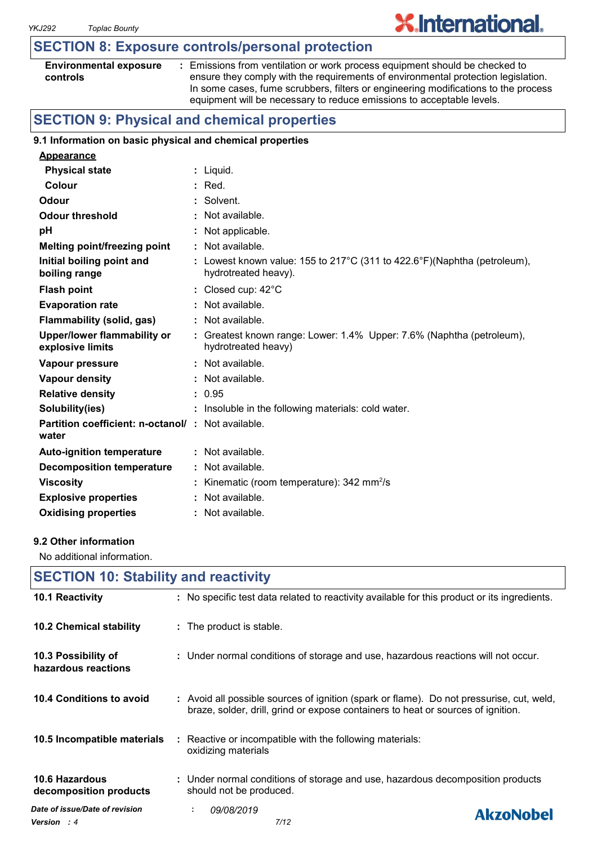# **SECTION 8: Exposure controls/personal protection**

| <b>Environmental exposure</b> |  |
|-------------------------------|--|
| controls                      |  |

**:** Emissions from ventilation or work process equipment should be checked to ensure they comply with the requirements of environmental protection legislation. In some cases, fume scrubbers, filters or engineering modifications to the process equipment will be necessary to reduce emissions to acceptable levels.

**X.International.** 

# **SECTION 9: Physical and chemical properties**

### **9.1 Information on basic physical and chemical properties**

| <b>Appearance</b>                                                 |                                                                                                  |
|-------------------------------------------------------------------|--------------------------------------------------------------------------------------------------|
| <b>Physical state</b>                                             | : Liquid.                                                                                        |
| Colour                                                            | $:$ Red.                                                                                         |
| Odour                                                             | : Solvent.                                                                                       |
| <b>Odour threshold</b>                                            | : Not available.                                                                                 |
| pH                                                                | : Not applicable.                                                                                |
| <b>Melting point/freezing point</b>                               | $:$ Not available.                                                                               |
| Initial boiling point and<br>boiling range                        | : Lowest known value: 155 to 217°C (311 to 422.6°F)(Naphtha (petroleum),<br>hydrotreated heavy). |
| <b>Flash point</b>                                                | : Closed cup: $42^{\circ}$ C                                                                     |
| <b>Evaporation rate</b>                                           | $:$ Not available.                                                                               |
| Flammability (solid, gas)                                         | : Not available.                                                                                 |
| <b>Upper/lower flammability or</b><br>explosive limits            | : Greatest known range: Lower: 1.4% Upper: 7.6% (Naphtha (petroleum),<br>hydrotreated heavy)     |
| Vapour pressure                                                   | $:$ Not available.                                                                               |
| Vapour density                                                    | : Not available.                                                                                 |
| <b>Relative density</b>                                           | : 0.95                                                                                           |
| Solubility(ies)                                                   | : Insoluble in the following materials: cold water.                                              |
| <b>Partition coefficient: n-octanol/: Not available.</b><br>water |                                                                                                  |
| <b>Auto-ignition temperature</b>                                  | $:$ Not available.                                                                               |
| <b>Decomposition temperature</b>                                  | : Not available.                                                                                 |
| <b>Viscosity</b>                                                  | : Kinematic (room temperature): $342 \text{ mm}^2/\text{s}$                                      |
| <b>Explosive properties</b>                                       | : Not available.                                                                                 |
| <b>Oxidising properties</b>                                       | : Not available.                                                                                 |

#### **9.2 Other information**

No additional information.

| <b>SECTION 10: Stability and reactivity</b>   |                                                                                                                                                                              |  |  |  |
|-----------------------------------------------|------------------------------------------------------------------------------------------------------------------------------------------------------------------------------|--|--|--|
| 10.1 Reactivity                               | : No specific test data related to reactivity available for this product or its ingredients.                                                                                 |  |  |  |
| 10.2 Chemical stability                       | : The product is stable.                                                                                                                                                     |  |  |  |
| 10.3 Possibility of<br>hazardous reactions    | : Under normal conditions of storage and use, hazardous reactions will not occur.                                                                                            |  |  |  |
| 10.4 Conditions to avoid                      | : Avoid all possible sources of ignition (spark or flame). Do not pressurise, cut, weld,<br>braze, solder, drill, grind or expose containers to heat or sources of ignition. |  |  |  |
| 10.5 Incompatible materials                   | : Reactive or incompatible with the following materials:<br>oxidizing materials                                                                                              |  |  |  |
| 10.6 Hazardous<br>decomposition products      | : Under normal conditions of storage and use, hazardous decomposition products<br>should not be produced.                                                                    |  |  |  |
| Date of issue/Date of revision<br>Version : 4 | 09/08/2019<br>÷.<br><b>AkzoNobel</b><br>7/12                                                                                                                                 |  |  |  |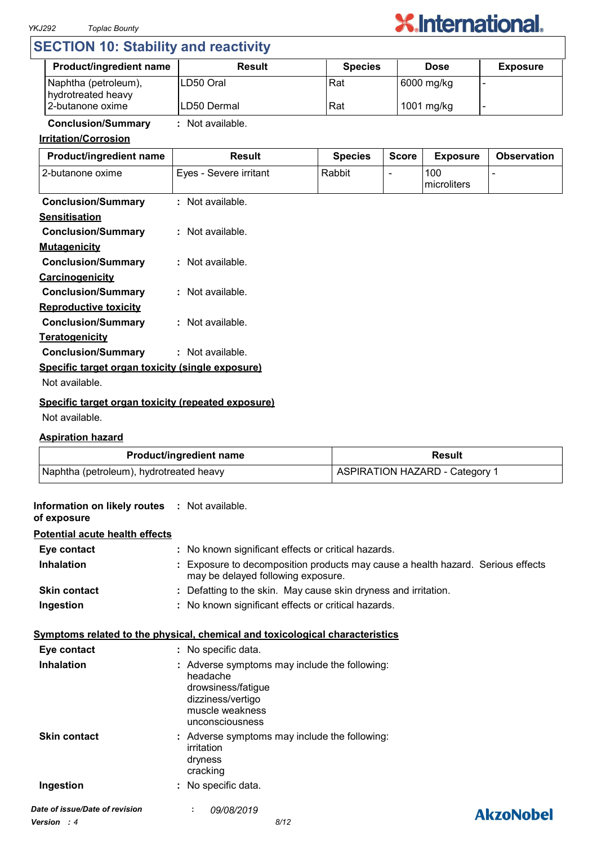

# **SECTION 10: Stability and reactivity**

| <b>Product/ingredient name</b>             | Result       | <b>Species</b> | <b>Dose</b> | <b>Exposure</b> |
|--------------------------------------------|--------------|----------------|-------------|-----------------|
| Naphtha (petroleum),<br>hydrotreated heavy | ILD50 Oral   | Rat            | 6000 mg/kg  |                 |
| 2-butanone oxime                           | ILD50 Dermal | Rat            | 1001 mg/kg  |                 |

# **Conclusion/Summary :** Not available.

# **Irritation/Corrosion**

| Product/ingredient name                            | <b>Result</b>          | <b>Species</b> | <b>Score</b> | <b>Exposure</b>    | <b>Observation</b> |
|----------------------------------------------------|------------------------|----------------|--------------|--------------------|--------------------|
| 2-butanone oxime                                   | Eyes - Severe irritant | Rabbit         |              | 100<br>microliters |                    |
| <b>Conclusion/Summary</b>                          | : Not available.       |                |              |                    |                    |
| <b>Sensitisation</b>                               |                        |                |              |                    |                    |
| <b>Conclusion/Summary</b>                          | : Not available.       |                |              |                    |                    |
| <b>Mutagenicity</b>                                |                        |                |              |                    |                    |
| <b>Conclusion/Summary</b>                          | : Not available.       |                |              |                    |                    |
| Carcinogenicity                                    |                        |                |              |                    |                    |
| <b>Conclusion/Summary</b>                          | : Not available.       |                |              |                    |                    |
| <b>Reproductive toxicity</b>                       |                        |                |              |                    |                    |
| <b>Conclusion/Summary</b>                          | : Not available.       |                |              |                    |                    |
| <b>Teratogenicity</b>                              |                        |                |              |                    |                    |
| <b>Conclusion/Summary</b>                          | : Not available.       |                |              |                    |                    |
| Specific target organ toxicity (single exposure)   |                        |                |              |                    |                    |
| Not available.                                     |                        |                |              |                    |                    |
| Specific target organ toxicity (repeated exposure) |                        |                |              |                    |                    |

#### Not available.

#### **Aspiration hazard**

**Information on likely routes** 

| <b>Product/ingredient name</b>          | Result                                |
|-----------------------------------------|---------------------------------------|
| Naphtha (petroleum), hydrotreated heavy | <b>ASPIRATION HAZARD - Category 1</b> |

| Information on likely routes : Not available.<br>of exposure |                                                                                                                                            |                  |
|--------------------------------------------------------------|--------------------------------------------------------------------------------------------------------------------------------------------|------------------|
| <b>Potential acute health effects</b>                        |                                                                                                                                            |                  |
| Eye contact                                                  | : No known significant effects or critical hazards.                                                                                        |                  |
| <b>Inhalation</b>                                            | Exposure to decomposition products may cause a health hazard. Serious effects<br>may be delayed following exposure.                        |                  |
| <b>Skin contact</b>                                          | : Defatting to the skin. May cause skin dryness and irritation.                                                                            |                  |
| Ingestion                                                    | : No known significant effects or critical hazards.                                                                                        |                  |
|                                                              | Symptoms related to the physical, chemical and toxicological characteristics                                                               |                  |
| Eye contact                                                  | : No specific data.                                                                                                                        |                  |
| <b>Inhalation</b>                                            | : Adverse symptoms may include the following:<br>headache<br>drowsiness/fatigue<br>dizziness/vertigo<br>muscle weakness<br>unconsciousness |                  |
| <b>Skin contact</b>                                          | : Adverse symptoms may include the following:<br>irritation<br>dryness<br>cracking                                                         |                  |
| Ingestion                                                    | : No specific data.                                                                                                                        |                  |
| Date of issue/Date of revision                               | 09/08/2019                                                                                                                                 | <b>AkzoNobel</b> |
| <b>Version</b> : 4                                           | 8/12                                                                                                                                       |                  |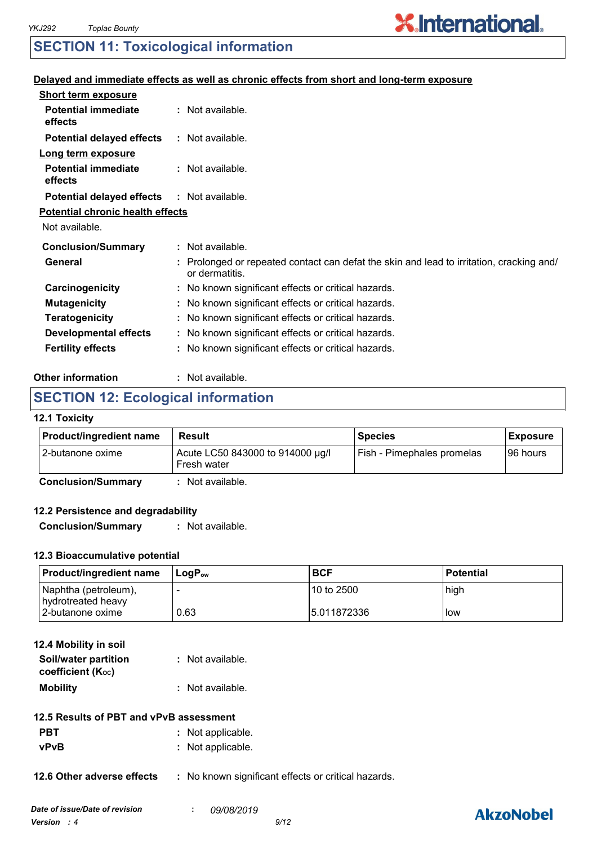# **SECTION 11: Toxicological information**

## **Delayed and immediate effects as well as chronic effects from short and long-term exposure**

| <b>Short term exposure</b>              |                                                                                                            |
|-----------------------------------------|------------------------------------------------------------------------------------------------------------|
| <b>Potential immediate</b><br>effects   | $:$ Not available.                                                                                         |
| <b>Potential delayed effects</b>        | : Not available.                                                                                           |
| Long term exposure                      |                                                                                                            |
| <b>Potential immediate</b><br>effects   | : Not available.                                                                                           |
| <b>Potential delayed effects</b>        | : Not available.                                                                                           |
| <b>Potential chronic health effects</b> |                                                                                                            |
| Not available.                          |                                                                                                            |
| <b>Conclusion/Summary</b>               | $:$ Not available.                                                                                         |
| General                                 | : Prolonged or repeated contact can defat the skin and lead to irritation, cracking and/<br>or dermatitis. |
| Carcinogenicity                         | : No known significant effects or critical hazards.                                                        |
| <b>Mutagenicity</b>                     | : No known significant effects or critical hazards.                                                        |
| <b>Teratogenicity</b>                   | : No known significant effects or critical hazards.                                                        |
| <b>Developmental effects</b>            | : No known significant effects or critical hazards.                                                        |
| <b>Fertility effects</b>                | : No known significant effects or critical hazards.                                                        |
|                                         |                                                                                                            |

#### **Other information :** : Not available.

# **SECTION 12: Ecological information**

#### **12.1 Toxicity**

| Acute LC50 843000 to 914000 µg/l<br>Fish - Pimephales promelas<br>I96 hours<br>Fresh water | <b>Product/ingredient name</b> | Result | <b>Species</b> | <b>Exposure</b> |
|--------------------------------------------------------------------------------------------|--------------------------------|--------|----------------|-----------------|
|                                                                                            | 12-butanone oxime              |        |                |                 |

**Conclusion/Summary :** Not available.

## **12.2 Persistence and degradability**

**Conclusion/Summary :** Not available.

# **12.3 Bioaccumulative potential**

| <b>Product/ingredient name</b>             | ⊥LoɑP <sub>ow</sub> | <b>BCF</b>   | <b>Potential</b> |
|--------------------------------------------|---------------------|--------------|------------------|
| Naphtha (petroleum),<br>hydrotreated heavy |                     | l10 to 2500  | high             |
| l 2-butanone oxime                         | 0.63                | 15.011872336 | low              |

| 12.4 Mobility in soil                     |                  |
|-------------------------------------------|------------------|
| Soil/water partition<br>coefficient (Koc) | : Not available. |
| <b>Mobility</b>                           | : Not available. |
|                                           |                  |

- **PBT** : Not applicable.
- **vPvB :** Not applicable.

**12.6 Other adverse effects** : No known significant effects or critical hazards.

# **AkzoNobel**

**X.International.**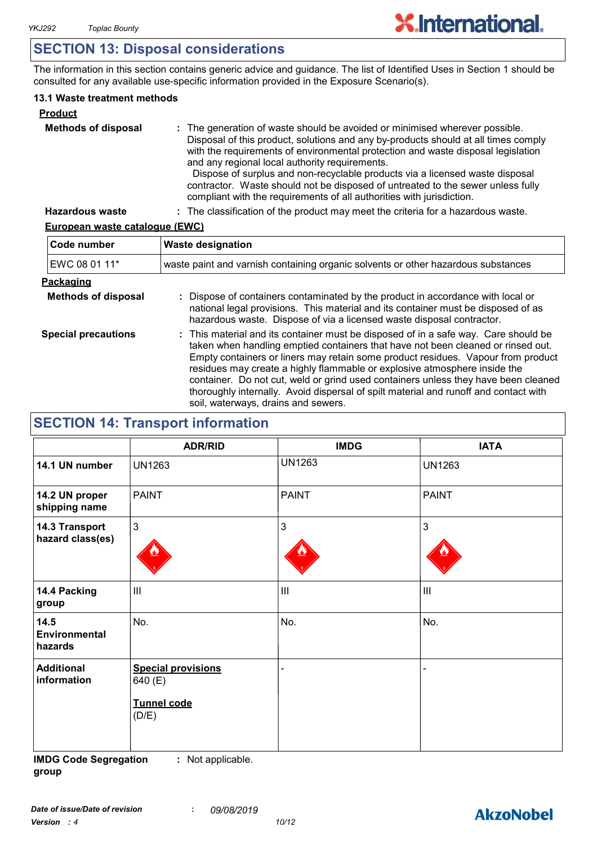# **SECTION 13: Disposal considerations**

The information in this section contains generic advice and guidance. The list of Identified Uses in Section 1 should be consulted for any available use-specific information provided in the Exposure Scenario(s).

## **13.1 Waste treatment methods**

| <b>Product</b>             |                                                                                                                                                                                                                                                                                                                                                                                                                                                                                                                                                     |
|----------------------------|-----------------------------------------------------------------------------------------------------------------------------------------------------------------------------------------------------------------------------------------------------------------------------------------------------------------------------------------------------------------------------------------------------------------------------------------------------------------------------------------------------------------------------------------------------|
| <b>Methods of disposal</b> | : The generation of waste should be avoided or minimised wherever possible.<br>Disposal of this product, solutions and any by-products should at all times comply<br>with the requirements of environmental protection and waste disposal legislation<br>and any regional local authority requirements.<br>Dispose of surplus and non-recyclable products via a licensed waste disposal<br>contractor. Waste should not be disposed of untreated to the sewer unless fully<br>compliant with the requirements of all authorities with jurisdiction. |
| <b>Hazardous waste</b>     | : The classification of the product may meet the criteria for a hazardous waste.                                                                                                                                                                                                                                                                                                                                                                                                                                                                    |

# **European waste catalogue (EWC)**

| Code number                | <b>Waste designation</b>                                                                                                                                                                                                                                                                                                                                                                                                                                                                                                                                      |  |  |
|----------------------------|---------------------------------------------------------------------------------------------------------------------------------------------------------------------------------------------------------------------------------------------------------------------------------------------------------------------------------------------------------------------------------------------------------------------------------------------------------------------------------------------------------------------------------------------------------------|--|--|
| EWC 08 01 11*              | waste paint and varnish containing organic solvents or other hazardous substances                                                                                                                                                                                                                                                                                                                                                                                                                                                                             |  |  |
| Packaging                  |                                                                                                                                                                                                                                                                                                                                                                                                                                                                                                                                                               |  |  |
| <b>Methods of disposal</b> | : Dispose of containers contaminated by the product in accordance with local or<br>national legal provisions. This material and its container must be disposed of as<br>hazardous waste. Dispose of via a licensed waste disposal contractor.                                                                                                                                                                                                                                                                                                                 |  |  |
| <b>Special precautions</b> | : This material and its container must be disposed of in a safe way. Care should be<br>taken when handling emptied containers that have not been cleaned or rinsed out.<br>Empty containers or liners may retain some product residues. Vapour from product<br>residues may create a highly flammable or explosive atmosphere inside the<br>container. Do not cut, weld or grind used containers unless they have been cleaned<br>thoroughly internally. Avoid dispersal of spilt material and runoff and contact with<br>soil, waterways, drains and sewers. |  |  |

# **SECTION 14: Transport information**

|                                         | <b>ADR/RID</b>                                               | <b>IMDG</b>    | <b>IATA</b>   |
|-----------------------------------------|--------------------------------------------------------------|----------------|---------------|
| 14.1 UN number                          | <b>UN1263</b>                                                | <b>UN1263</b>  | <b>UN1263</b> |
| 14.2 UN proper<br>shipping name         | <b>PAINT</b>                                                 | <b>PAINT</b>   | <b>PAINT</b>  |
| 14.3 Transport<br>hazard class(es)      | $\mathfrak{S}$                                               | $\mathfrak{S}$ | 3             |
| 14.4 Packing<br>group                   | III                                                          | $\mathbf{III}$ | III           |
| 14.5<br><b>Environmental</b><br>hazards | No.                                                          | No.            | No.           |
| <b>Additional</b><br>information        | <b>Special provisions</b><br>640 (E)<br>Tunnel code<br>(D/E) |                |               |

**IMDG Code Segregation group :** Not applicable.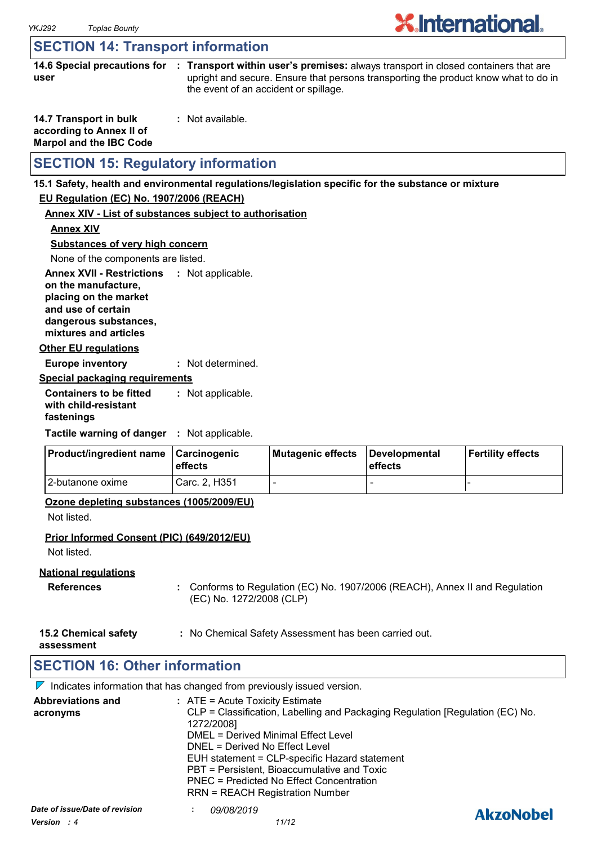# **SECTION 14: Transport information**

**14.6 Special precautions for : Transport within user's premises:** always transport in closed containers that are **user** upright and secure. Ensure that persons transporting the product know what to do in the event of an accident or spillage.

| 14.7 Transport in bulk         | : Not available. |
|--------------------------------|------------------|
| according to Annex II of       |                  |
| <b>Marpol and the IBC Code</b> |                  |

# **SECTION 15: Regulatory information**

# **15.1 Safety, health and environmental regulations/legislation specific for the substance or mixture**

# **EU Regulation (EC) No. 1907/2006 (REACH)**

# **Annex XIV - List of substances subject to authorisation**

**Annex XIV**

**Substances of very high concern**

None of the components are listed.

**Annex XVII - Restrictions : Not applicable. on the manufacture, placing on the market** 

**and use of certain dangerous substances,**

**mixtures and articles**

## **Other EU regulations**

**Europe inventory :** Not determined.

## **Special packaging requirements**

**Containers to be fitted with child-resistant fastenings** Not applicable. **:**

**Tactile warning of danger : Not applicable.** 

| <b>Product/ingredient name</b> | <b>∣Carcinogenic</b><br><b>leffects</b> | Mutagenic effects | Developmental<br>effects | Fertility effects |
|--------------------------------|-----------------------------------------|-------------------|--------------------------|-------------------|
| 12-butanone oxime              | Carc. 2. H351                           |                   | -                        |                   |

### **Ozone depleting substances (1005/2009/EU)**

Not listed.

# **Prior Informed Consent (PIC) (649/2012/EU)**

Not listed.

# **National regulations**

- **References :** Conforms to Regulation (EC) No. 1907/2006 (REACH), Annex II and Regulation (EC) No. 1272/2008 (CLP)
- **15.2 Chemical safety :** No Chemical Safety Assessment has been carried out.

**assessment**

# **SECTION 16: Other information**

 $\nabla$  Indicates information that has changed from previously issued version.

| <b>Abbreviations and</b><br>acronyms            | $:$ ATE = Acute Toxicity Estimate<br>CLP = Classification, Labelling and Packaging Regulation [Regulation (EC) No.<br>1272/2008]<br>DMEL = Derived Minimal Effect Level<br>DNEL = Derived No Effect Level<br>EUH statement = CLP-specific Hazard statement<br>PBT = Persistent, Bioaccumulative and Toxic<br>PNEC = Predicted No Effect Concentration<br><b>RRN = REACH Registration Number</b> |                  |
|-------------------------------------------------|-------------------------------------------------------------------------------------------------------------------------------------------------------------------------------------------------------------------------------------------------------------------------------------------------------------------------------------------------------------------------------------------------|------------------|
| Date of issue/Date of revision<br>Version $: 4$ | <i>09/08/2019</i><br>11/12                                                                                                                                                                                                                                                                                                                                                                      | <b>AkzoNobel</b> |